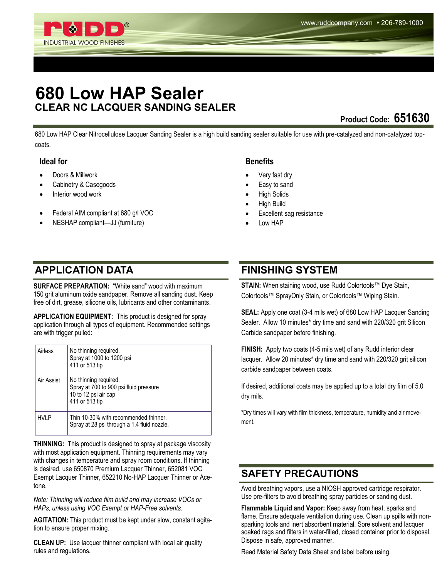# **680 Low HAP Sealer CLEAR NC LACQUER SANDING SEALER**

**Product Code: 651630** 

680 Low HAP Clear Nitrocellulose Lacquer Sanding Sealer is a high build sanding sealer suitable for use with pre-catalyzed and non-catalyzed topcoats.

#### **Ideal for**

- Doors & Millwork
- Cabinetry & Casegoods

**INDUSTRIAL WOOD FINISHES** 

- Interior wood work
- Federal AIM compliant at 680 g/l VOC
- NESHAP compliant—JJ (furniture)

#### **Benefits**

- Very fast dry
- Easy to sand
- High Solids
- High Build
- Excellent sag resistance
- Low HAP

### **APPLICATION DATA FINISHING SYSTEM**

**SURFACE PREPARATION: "White sand" wood with maximum** 150 grit aluminum oxide sandpaper. Remove all sanding dust. Keep free of dirt, grease, silicone oils, lubricants and other contaminants.

**APPLICATION EQUIPMENT:** This product is designed for spray application through all types of equipment. Recommended settings are with trigger pulled:

| Airless     | No thinning required.<br>Spray at 1000 to 1200 psi<br>411 or 513 tip                                      |
|-------------|-----------------------------------------------------------------------------------------------------------|
| Air Assist  | No thinning required.<br>Spray at 700 to 900 psi fluid pressure<br>10 to 12 psi air cap<br>411 or 513 tip |
| <b>HVLP</b> | Thin 10-30% with recommended thinner.<br>Spray at 28 psi through a 1.4 fluid nozzle.                      |

**THINNING:** This product is designed to spray at package viscosity with most application equipment. Thinning requirements may vary with changes in temperature and spray room conditions. If thinning is desired, use 650870 Premium Lacquer Thinner, 652081 VOC Exempt Lacquer Thinner, 652210 No-HAP Lacquer Thinner or Acetone.

*Note: Thinning will reduce film build and may increase VOCs or HAPs, unless using VOC Exempt or HAP-Free solvents.*

**AGITATION:** This product must be kept under slow, constant agitation to ensure proper mixing.

**CLEAN UP:** Use lacquer thinner compliant with local air quality rules and regulations.

**STAIN:** When staining wood, use Rudd Colortools™ Dye Stain, Colortools™ SprayOnly Stain, or Colortools™ Wiping Stain.

**SEAL:** Apply one coat (3-4 mils wet) of 680 Low HAP Lacquer Sanding Sealer. Allow 10 minutes\* dry time and sand with 220/320 grit Silicon Carbide sandpaper before finishing.

**FINISH:** Apply two coats (4-5 mils wet) of any Rudd interior clear lacquer. Allow 20 minutes\* dry time and sand with 220/320 grit silicon carbide sandpaper between coats.

If desired, additional coats may be applied up to a total dry film of 5.0 dry mils.

\*Dry times will vary with film thickness, temperature, humidity and air movement.

# **SAFETY PRECAUTIONS**

Avoid breathing vapors, use a NIOSH approved cartridge respirator. Use pre-filters to avoid breathing spray particles or sanding dust.

**Flammable Liquid and Vapor:** Keep away from heat, sparks and flame. Ensure adequate ventilation during use. Clean up spills with nonsparking tools and inert absorbent material. Sore solvent and lacquer soaked rags and filters in water-filled, closed container prior to disposal. Dispose in safe, approved manner.

Read Material Safety Data Sheet and label before using.